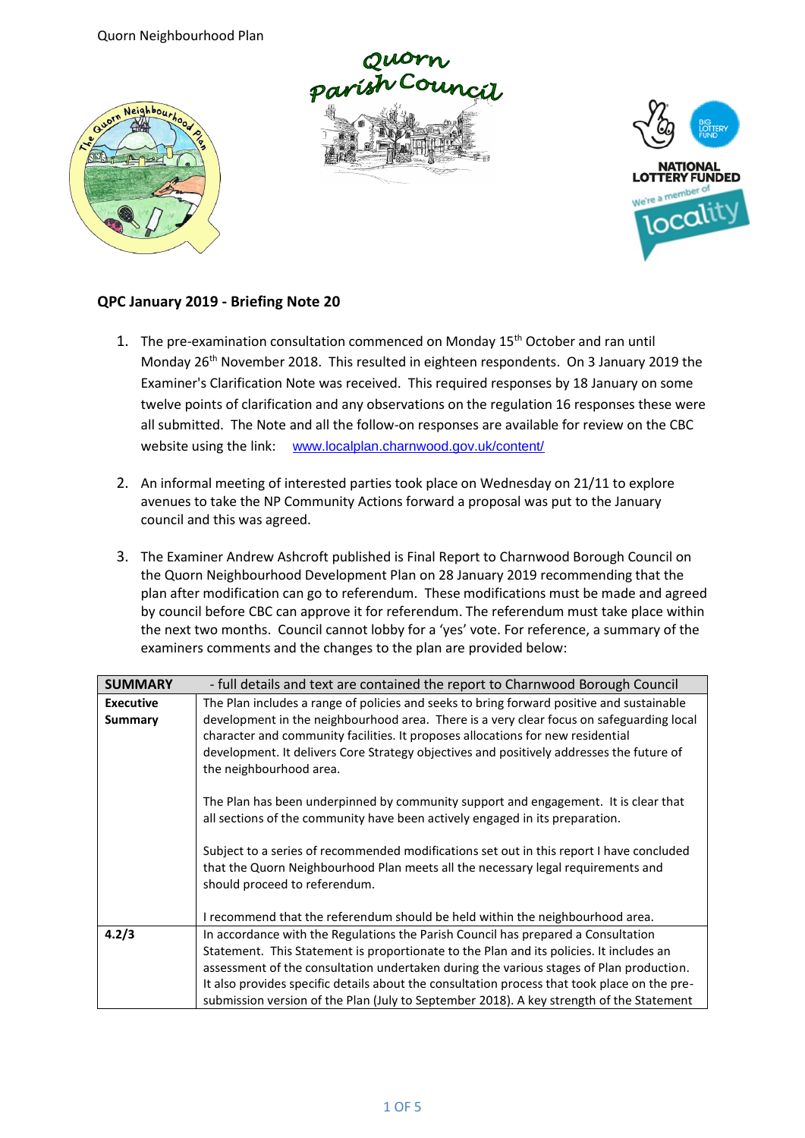Quorn Neighbourhood Plan







## **QPC January 2019 - Briefing Note 20**

- 1. The pre-examination consultation commenced on Monday 15<sup>th</sup> October and ran until Monday 26th November 2018. This resulted in eighteen respondents. On 3 January 2019 the Examiner's Clarification Note was received. This required responses by 18 January on some twelve points of clarification and any observations on the regulation 16 responses these were all submitted. The Note and all the follow-on responses are available for review on the CBC website using the link: [www.localplan.charnwood.gov.uk/content/](http://www.localplan.charnwood.gov.uk/content/)
- 2. An informal meeting of interested parties took place on Wednesday on 21/11 to explore avenues to take the NP Community Actions forward a proposal was put to the January council and this was agreed.
- 3. The Examiner Andrew Ashcroft published is Final Report to Charnwood Borough Council on the Quorn Neighbourhood Development Plan on 28 January 2019 recommending that the plan after modification can go to referendum. These modifications must be made and agreed by council before CBC can approve it for referendum. The referendum must take place within the next two months. Council cannot lobby for a 'yes' vote. For reference, a summary of the examiners comments and the changes to the plan are provided below:

| <b>SUMMARY</b>   | - full details and text are contained the report to Charnwood Borough Council                |
|------------------|----------------------------------------------------------------------------------------------|
| <b>Executive</b> | The Plan includes a range of policies and seeks to bring forward positive and sustainable    |
| Summary          | development in the neighbourhood area. There is a very clear focus on safeguarding local     |
|                  | character and community facilities. It proposes allocations for new residential              |
|                  | development. It delivers Core Strategy objectives and positively addresses the future of     |
|                  | the neighbourhood area.                                                                      |
|                  |                                                                                              |
|                  | The Plan has been underpinned by community support and engagement. It is clear that          |
|                  | all sections of the community have been actively engaged in its preparation.                 |
|                  |                                                                                              |
|                  | Subject to a series of recommended modifications set out in this report I have concluded     |
|                  | that the Quorn Neighbourhood Plan meets all the necessary legal requirements and             |
|                  | should proceed to referendum.                                                                |
|                  |                                                                                              |
|                  | I recommend that the referendum should be held within the neighbourhood area.                |
| 4.2/3            | In accordance with the Regulations the Parish Council has prepared a Consultation            |
|                  | Statement. This Statement is proportionate to the Plan and its policies. It includes an      |
|                  | assessment of the consultation undertaken during the various stages of Plan production.      |
|                  | It also provides specific details about the consultation process that took place on the pre- |
|                  | submission version of the Plan (July to September 2018). A key strength of the Statement     |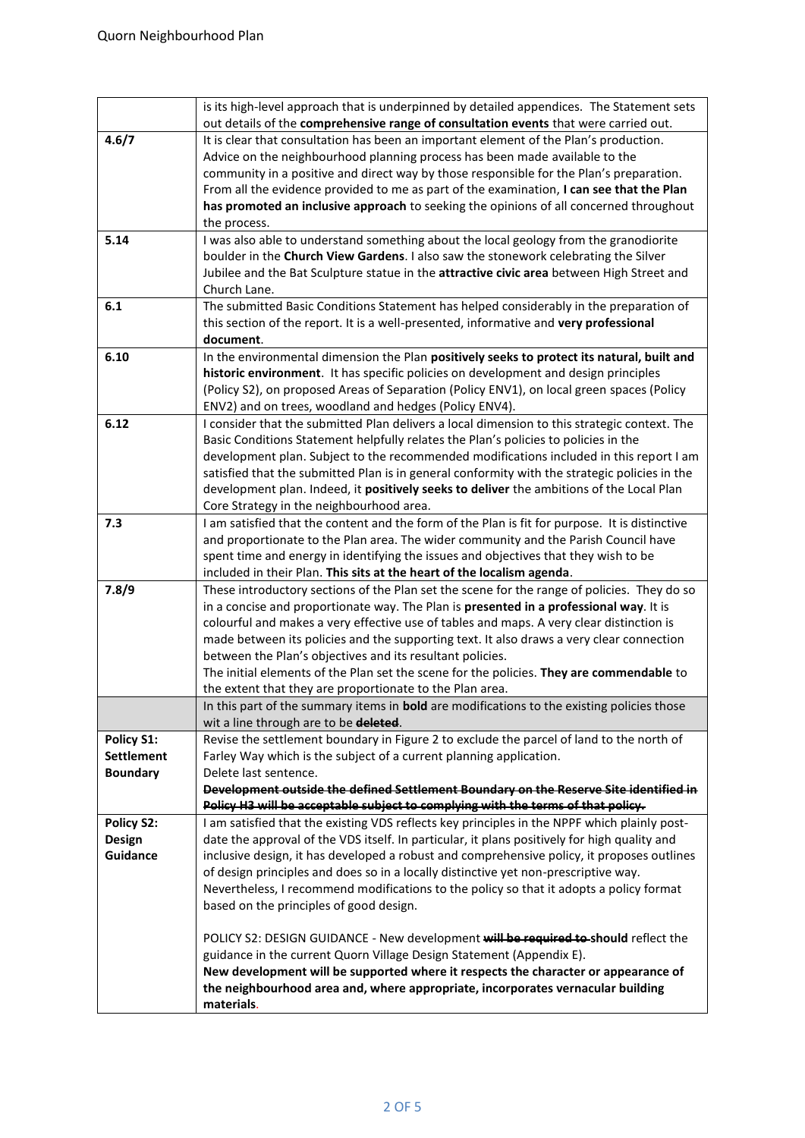|                   | is its high-level approach that is underpinned by detailed appendices. The Statement sets         |
|-------------------|---------------------------------------------------------------------------------------------------|
|                   | out details of the comprehensive range of consultation events that were carried out.              |
| 4.6/7             | It is clear that consultation has been an important element of the Plan's production.             |
|                   | Advice on the neighbourhood planning process has been made available to the                       |
|                   | community in a positive and direct way by those responsible for the Plan's preparation.           |
|                   | From all the evidence provided to me as part of the examination, I can see that the Plan          |
|                   | has promoted an inclusive approach to seeking the opinions of all concerned throughout            |
|                   | the process.                                                                                      |
| 5.14              | I was also able to understand something about the local geology from the granodiorite             |
|                   | boulder in the Church View Gardens. I also saw the stonework celebrating the Silver               |
|                   | Jubilee and the Bat Sculpture statue in the attractive civic area between High Street and         |
|                   | Church Lane.                                                                                      |
| 6.1               | The submitted Basic Conditions Statement has helped considerably in the preparation of            |
|                   | this section of the report. It is a well-presented, informative and very professional             |
|                   |                                                                                                   |
|                   | document.                                                                                         |
| 6.10              | In the environmental dimension the Plan positively seeks to protect its natural, built and        |
|                   | historic environment. It has specific policies on development and design principles               |
|                   | (Policy S2), on proposed Areas of Separation (Policy ENV1), on local green spaces (Policy         |
|                   | ENV2) and on trees, woodland and hedges (Policy ENV4).                                            |
| 6.12              | I consider that the submitted Plan delivers a local dimension to this strategic context. The      |
|                   | Basic Conditions Statement helpfully relates the Plan's policies to policies in the               |
|                   | development plan. Subject to the recommended modifications included in this report I am           |
|                   | satisfied that the submitted Plan is in general conformity with the strategic policies in the     |
|                   | development plan. Indeed, it positively seeks to deliver the ambitions of the Local Plan          |
|                   | Core Strategy in the neighbourhood area.                                                          |
| 7.3               | I am satisfied that the content and the form of the Plan is fit for purpose. It is distinctive    |
|                   | and proportionate to the Plan area. The wider community and the Parish Council have               |
|                   | spent time and energy in identifying the issues and objectives that they wish to be               |
|                   | included in their Plan. This sits at the heart of the localism agenda.                            |
| 7.8/9             | These introductory sections of the Plan set the scene for the range of policies. They do so       |
|                   | in a concise and proportionate way. The Plan is presented in a professional way. It is            |
|                   | colourful and makes a very effective use of tables and maps. A very clear distinction is          |
|                   | made between its policies and the supporting text. It also draws a very clear connection          |
|                   | between the Plan's objectives and its resultant policies.                                         |
|                   | The initial elements of the Plan set the scene for the policies. They are commendable to          |
|                   | the extent that they are proportionate to the Plan area.                                          |
|                   | In this part of the summary items in <b>bold</b> are modifications to the existing policies those |
|                   | wit a line through are to be deleted.                                                             |
| Policy S1:        | Revise the settlement boundary in Figure 2 to exclude the parcel of land to the north of          |
| <b>Settlement</b> | Farley Way which is the subject of a current planning application.                                |
| <b>Boundary</b>   | Delete last sentence.                                                                             |
|                   | Development outside the defined Settlement Boundary on the Reserve Site identified in             |
|                   | Policy H3 will be acceptable subject to complying with the terms of that policy.                  |
| <b>Policy S2:</b> | I am satisfied that the existing VDS reflects key principles in the NPPF which plainly post-      |
| <b>Design</b>     | date the approval of the VDS itself. In particular, it plans positively for high quality and      |
| Guidance          | inclusive design, it has developed a robust and comprehensive policy, it proposes outlines        |
|                   | of design principles and does so in a locally distinctive yet non-prescriptive way.               |
|                   | Nevertheless, I recommend modifications to the policy so that it adopts a policy format           |
|                   | based on the principles of good design.                                                           |
|                   |                                                                                                   |
|                   | POLICY S2: DESIGN GUIDANCE - New development will be required to-should reflect the               |
|                   | guidance in the current Quorn Village Design Statement (Appendix E).                              |
|                   | New development will be supported where it respects the character or appearance of                |
|                   | the neighbourhood area and, where appropriate, incorporates vernacular building                   |
|                   | materials.                                                                                        |
|                   |                                                                                                   |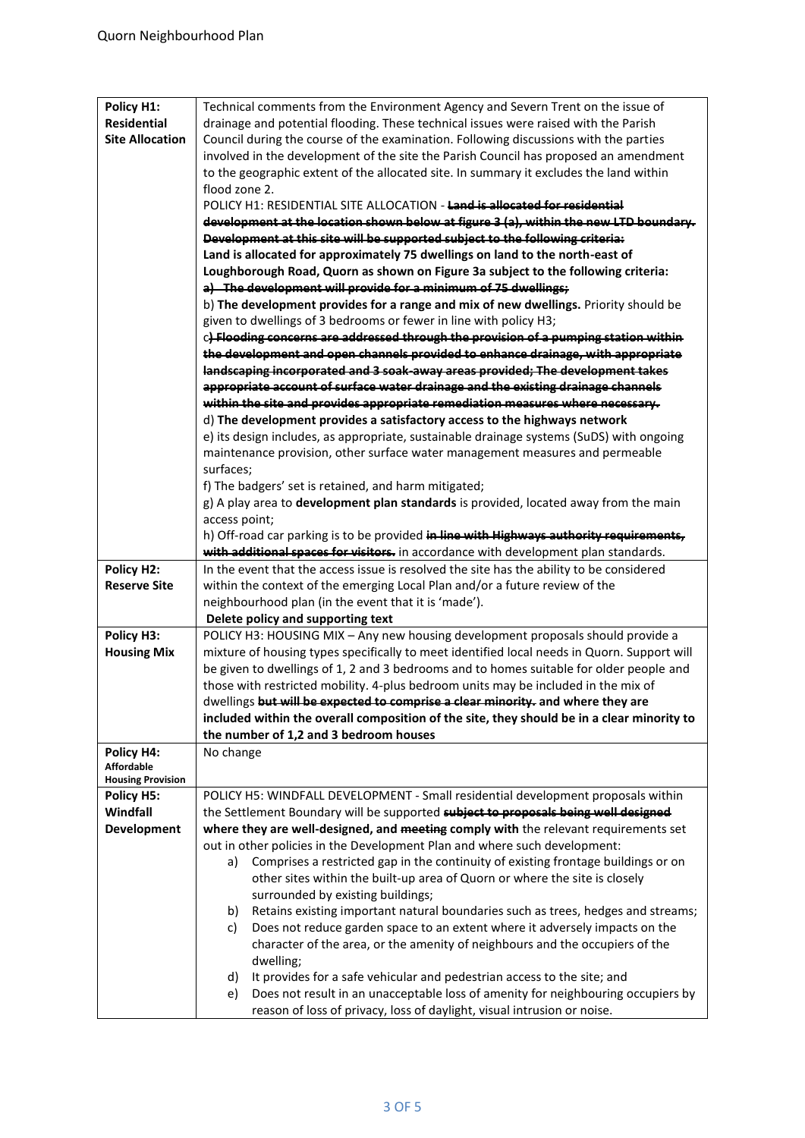| Policy H1:<br><b>Residential</b><br><b>Site Allocation</b> | Technical comments from the Environment Agency and Severn Trent on the issue of<br>drainage and potential flooding. These technical issues were raised with the Parish<br>Council during the course of the examination. Following discussions with the parties<br>involved in the development of the site the Parish Council has proposed an amendment |
|------------------------------------------------------------|--------------------------------------------------------------------------------------------------------------------------------------------------------------------------------------------------------------------------------------------------------------------------------------------------------------------------------------------------------|
|                                                            | to the geographic extent of the allocated site. In summary it excludes the land within                                                                                                                                                                                                                                                                 |
|                                                            | flood zone 2.                                                                                                                                                                                                                                                                                                                                          |
|                                                            | POLICY H1: RESIDENTIAL SITE ALLOCATION - Land is allocated for residential                                                                                                                                                                                                                                                                             |
|                                                            | development at the location shown below at figure 3 (a), within the new LTD boundary.                                                                                                                                                                                                                                                                  |
|                                                            | Development at this site will be supported subject to the following criteria:                                                                                                                                                                                                                                                                          |
|                                                            | Land is allocated for approximately 75 dwellings on land to the north-east of                                                                                                                                                                                                                                                                          |
|                                                            | Loughborough Road, Quorn as shown on Figure 3a subject to the following criteria:                                                                                                                                                                                                                                                                      |
|                                                            | a) The development will provide for a minimum of 75 dwellings;                                                                                                                                                                                                                                                                                         |
|                                                            | b) The development provides for a range and mix of new dwellings. Priority should be<br>given to dwellings of 3 bedrooms or fewer in line with policy H3;                                                                                                                                                                                              |
|                                                            | c) Flooding concerns are addressed through the provision of a pumping station within                                                                                                                                                                                                                                                                   |
|                                                            | the development and open channels provided to enhance drainage, with appropriate                                                                                                                                                                                                                                                                       |
|                                                            | landscaping incorporated and 3 soak away areas provided; The development takes                                                                                                                                                                                                                                                                         |
|                                                            | appropriate account of surface water drainage and the existing drainage channels                                                                                                                                                                                                                                                                       |
|                                                            | within the site and provides appropriate remediation measures where necessary.                                                                                                                                                                                                                                                                         |
|                                                            | d) The development provides a satisfactory access to the highways network                                                                                                                                                                                                                                                                              |
|                                                            | e) its design includes, as appropriate, sustainable drainage systems (SuDS) with ongoing                                                                                                                                                                                                                                                               |
|                                                            | maintenance provision, other surface water management measures and permeable                                                                                                                                                                                                                                                                           |
|                                                            | surfaces;                                                                                                                                                                                                                                                                                                                                              |
|                                                            | f) The badgers' set is retained, and harm mitigated;                                                                                                                                                                                                                                                                                                   |
|                                                            | g) A play area to development plan standards is provided, located away from the main                                                                                                                                                                                                                                                                   |
|                                                            | access point;                                                                                                                                                                                                                                                                                                                                          |
|                                                            | h) Off-road car parking is to be provided in line with Highways authority requirements,<br>with additional spaces for visitors. in accordance with development plan standards.                                                                                                                                                                         |
| Policy H2:                                                 | In the event that the access issue is resolved the site has the ability to be considered                                                                                                                                                                                                                                                               |
| <b>Reserve Site</b>                                        | within the context of the emerging Local Plan and/or a future review of the                                                                                                                                                                                                                                                                            |
|                                                            | neighbourhood plan (in the event that it is 'made').                                                                                                                                                                                                                                                                                                   |
|                                                            | Delete policy and supporting text                                                                                                                                                                                                                                                                                                                      |
| Policy H3:                                                 | POLICY H3: HOUSING MIX - Any new housing development proposals should provide a                                                                                                                                                                                                                                                                        |
| <b>Housing Mix</b>                                         | mixture of housing types specifically to meet identified local needs in Quorn. Support will                                                                                                                                                                                                                                                            |
|                                                            | be given to dwellings of 1, 2 and 3 bedrooms and to homes suitable for older people and                                                                                                                                                                                                                                                                |
|                                                            | those with restricted mobility. 4-plus bedroom units may be included in the mix of                                                                                                                                                                                                                                                                     |
|                                                            | dwellings but will be expected to comprise a clear minority. and where they are                                                                                                                                                                                                                                                                        |
|                                                            | included within the overall composition of the site, they should be in a clear minority to                                                                                                                                                                                                                                                             |
|                                                            | the number of 1,2 and 3 bedroom houses                                                                                                                                                                                                                                                                                                                 |
| Policy H4:<br><b>Affordable</b>                            | No change                                                                                                                                                                                                                                                                                                                                              |
| <b>Housing Provision</b>                                   |                                                                                                                                                                                                                                                                                                                                                        |
| <b>Policy H5:</b>                                          | POLICY H5: WINDFALL DEVELOPMENT - Small residential development proposals within                                                                                                                                                                                                                                                                       |
| Windfall                                                   | the Settlement Boundary will be supported subject to proposals being well designed                                                                                                                                                                                                                                                                     |
| <b>Development</b>                                         | where they are well-designed, and meeting comply with the relevant requirements set                                                                                                                                                                                                                                                                    |
|                                                            | out in other policies in the Development Plan and where such development:                                                                                                                                                                                                                                                                              |
|                                                            | Comprises a restricted gap in the continuity of existing frontage buildings or on<br>a)                                                                                                                                                                                                                                                                |
|                                                            | other sites within the built-up area of Quorn or where the site is closely                                                                                                                                                                                                                                                                             |
|                                                            | surrounded by existing buildings;<br>Retains existing important natural boundaries such as trees, hedges and streams;<br>b)                                                                                                                                                                                                                            |
|                                                            | Does not reduce garden space to an extent where it adversely impacts on the<br>c)                                                                                                                                                                                                                                                                      |
|                                                            | character of the area, or the amenity of neighbours and the occupiers of the                                                                                                                                                                                                                                                                           |
|                                                            | dwelling;                                                                                                                                                                                                                                                                                                                                              |
|                                                            | It provides for a safe vehicular and pedestrian access to the site; and<br>d)                                                                                                                                                                                                                                                                          |
|                                                            | Does not result in an unacceptable loss of amenity for neighbouring occupiers by<br>e)                                                                                                                                                                                                                                                                 |
|                                                            | reason of loss of privacy, loss of daylight, visual intrusion or noise.                                                                                                                                                                                                                                                                                |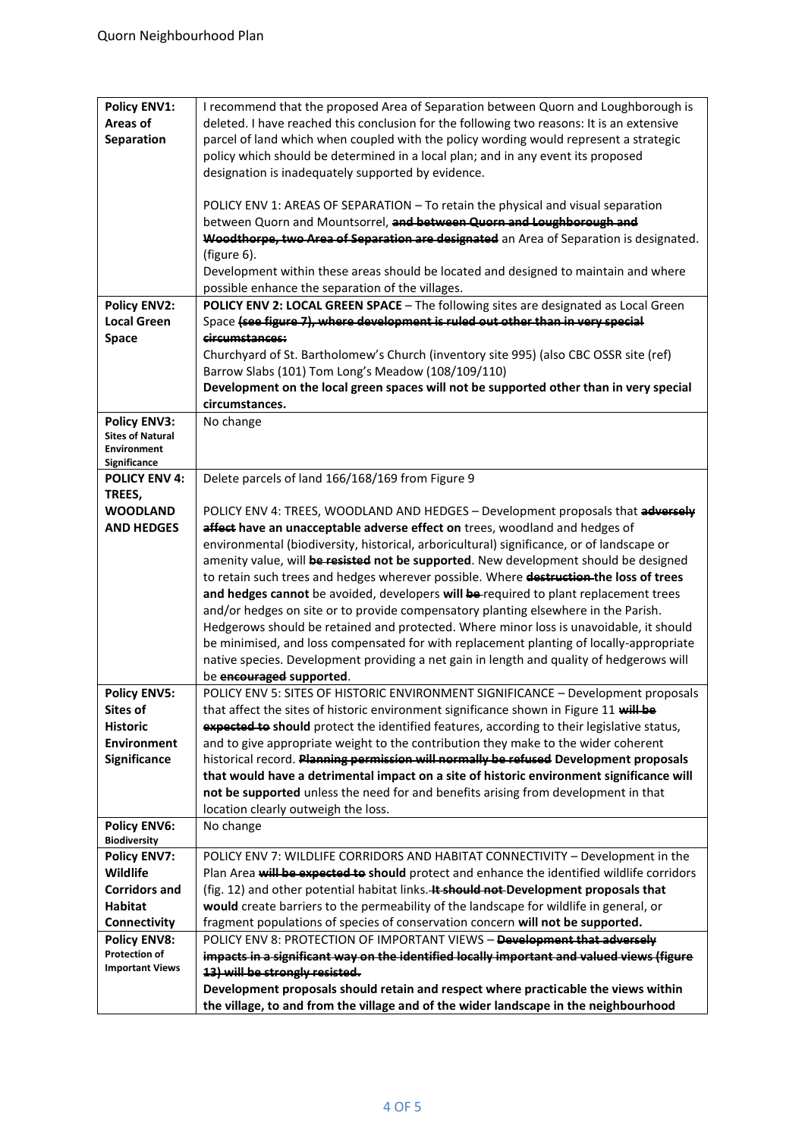| <b>Policy ENV1:</b>     | I recommend that the proposed Area of Separation between Quorn and Loughborough is           |
|-------------------------|----------------------------------------------------------------------------------------------|
| Areas of                | deleted. I have reached this conclusion for the following two reasons: It is an extensive    |
| Separation              | parcel of land which when coupled with the policy wording would represent a strategic        |
|                         | policy which should be determined in a local plan; and in any event its proposed             |
|                         | designation is inadequately supported by evidence.                                           |
|                         |                                                                                              |
|                         | POLICY ENV 1: AREAS OF SEPARATION - To retain the physical and visual separation             |
|                         | between Quorn and Mountsorrel, and between Quorn and Loughborough and                        |
|                         | Woodthorpe, two Area of Separation are designated an Area of Separation is designated.       |
|                         | (figure 6).                                                                                  |
|                         | Development within these areas should be located and designed to maintain and where          |
|                         |                                                                                              |
|                         | possible enhance the separation of the villages.                                             |
| <b>Policy ENV2:</b>     | POLICY ENV 2: LOCAL GREEN SPACE - The following sites are designated as Local Green          |
| <b>Local Green</b>      | Space (see figure 7), where development is ruled out other than in very special              |
| Space                   | circumstances:                                                                               |
|                         | Churchyard of St. Bartholomew's Church (inventory site 995) (also CBC OSSR site (ref)        |
|                         | Barrow Slabs (101) Tom Long's Meadow (108/109/110)                                           |
|                         | Development on the local green spaces will not be supported other than in very special       |
|                         | circumstances.                                                                               |
| <b>Policy ENV3:</b>     | No change                                                                                    |
| <b>Sites of Natural</b> |                                                                                              |
| <b>Environment</b>      |                                                                                              |
| Significance            |                                                                                              |
| <b>POLICY ENV 4:</b>    | Delete parcels of land 166/168/169 from Figure 9                                             |
| TREES,                  |                                                                                              |
| <b>WOODLAND</b>         | POLICY ENV 4: TREES, WOODLAND AND HEDGES - Development proposals that adversely              |
| <b>AND HEDGES</b>       | affect have an unacceptable adverse effect on trees, woodland and hedges of                  |
|                         | environmental (biodiversity, historical, arboricultural) significance, or of landscape or    |
|                         | amenity value, will be resisted not be supported. New development should be designed         |
|                         | to retain such trees and hedges wherever possible. Where destruction the loss of trees       |
|                         | and hedges cannot be avoided, developers will be-required to plant replacement trees         |
|                         | and/or hedges on site or to provide compensatory planting elsewhere in the Parish.           |
|                         | Hedgerows should be retained and protected. Where minor loss is unavoidable, it should       |
|                         | be minimised, and loss compensated for with replacement planting of locally-appropriate      |
|                         |                                                                                              |
|                         | native species. Development providing a net gain in length and quality of hedgerows will     |
|                         | be encouraged supported.                                                                     |
| <b>Policy ENV5:</b>     | POLICY ENV 5: SITES OF HISTORIC ENVIRONMENT SIGNIFICANCE - Development proposals             |
| Sites of                | that affect the sites of historic environment significance shown in Figure 11 will be        |
| <b>Historic</b>         | expected to should protect the identified features, according to their legislative status,   |
| <b>Environment</b>      | and to give appropriate weight to the contribution they make to the wider coherent           |
| Significance            | historical record. Planning permission will normally be refused Development proposals        |
|                         | that would have a detrimental impact on a site of historic environment significance will     |
|                         | not be supported unless the need for and benefits arising from development in that           |
|                         | location clearly outweigh the loss.                                                          |
| <b>Policy ENV6:</b>     | No change                                                                                    |
| <b>Biodiversity</b>     |                                                                                              |
| <b>Policy ENV7:</b>     | POLICY ENV 7: WILDLIFE CORRIDORS AND HABITAT CONNECTIVITY - Development in the               |
| Wildlife                | Plan Area will be expected to should protect and enhance the identified wildlife corridors   |
| <b>Corridors and</b>    | (fig. 12) and other potential habitat links. <b>4t should not-Development proposals that</b> |
| <b>Habitat</b>          | would create barriers to the permeability of the landscape for wildlife in general, or       |
| Connectivity            | fragment populations of species of conservation concern will not be supported.               |
| <b>Policy ENV8:</b>     | POLICY ENV 8: PROTECTION OF IMPORTANT VIEWS - Development that adversely                     |
| <b>Protection of</b>    | impacts in a significant way on the identified locally important and valued views (figure    |
| <b>Important Views</b>  | 13) will be strongly resisted.                                                               |
|                         | Development proposals should retain and respect where practicable the views within           |
|                         | the village, to and from the village and of the wider landscape in the neighbourhood         |
|                         |                                                                                              |